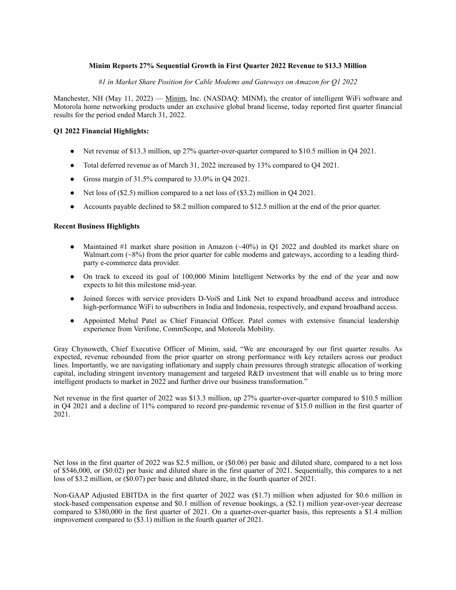# **Minim Reports 27% Sequential Growth in First Quarter 2022 Revenue to \$13.3 Million**

*#1 in Market Share Position for Cable Modems and Gateways on Amazon for Q1 2022*

Manchester, NH (May 11, 2022) — Minim, Inc. (NASDAQ: MINM), the creator of intelligent WiFi software and Motorola home networking products under an exclusive global brand license, today reported first quarter financial results for the period ended March 31, 2022.

# **Q1 2022 Financial Highlights:**

- Net revenue of \$13.3 million, up 27% quarter-over-quarter compared to \$10.5 million in Q4 2021.
- Total deferred revenue as of March 31, 2022 increased by 13% compared to Q4 2021.
- Gross margin of 31.5% compared to 33.0% in Q4 2021.
- Net loss of (\$2.5) million compared to a net loss of (\$3.2) million in Q4 2021.
- Accounts payable declined to \$8.2 million compared to \$12.5 million at the end of the prior quarter.

### **Recent Business Highlights**

- Maintained #1 market share position in Amazon (~40%) in Q1 2022 and doubled its market share on Walmart.com (~8%) from the prior quarter for cable modems and gateways, according to a leading thirdparty e-commerce data provider.
- On track to exceed its goal of 100,000 Minim Intelligent Networks by the end of the year and now expects to hit this milestone mid-year.
- Joined forces with service providers D-VoiS and Link Net to expand broadband access and introduce high-performance WiFi to subscribers in India and Indonesia, respectively, and expand broadband access.
- Appointed Mehul Patel as Chief Financial Officer. Patel comes with extensive financial leadership experience from Verifone, CommScope, and Motorola Mobility.

Gray Chynoweth, Chief Executive Officer of Minim, said, "We are encouraged by our first quarter results. As expected, revenue rebounded from the prior quarter on strong performance with key retailers across our product lines. Importantly, we are navigating inflationary and supply chain pressures through strategic allocation of working capital, including stringent inventory management and targeted R&D investment that will enable us to bring more intelligent products to market in 2022 and further drive our business transformation."

Net revenue in the first quarter of 2022 was \$13.3 million, up 27% quarter-over-quarter compared to \$10.5 million in Q4 2021 and a decline of 11% compared to record pre-pandemic revenue of \$15.0 million in the first quarter of 2021.

Net loss in the first quarter of 2022 was \$2.5 million, or (\$0.06) per basic and diluted share, compared to a net loss of \$546,000, or (\$0.02) per basic and diluted share in the first quarter of 2021. Sequentially, this compares to a net loss of \$3.2 million, or (\$0.07) per basic and diluted share, in the fourth quarter of 2021.

Non-GAAP Adjusted EBITDA in the first quarter of 2022 was (\$1.7) million when adjusted for \$0.6 million in stock-based compensation expense and \$0.1 million of revenue bookings, a (\$2.1) million year-over-year decrease compared to \$380,000 in the first quarter of 2021. On a quarter-over-quarter basis, this represents a \$1.4 million improvement compared to (\$3.1) million in the fourth quarter of 2021.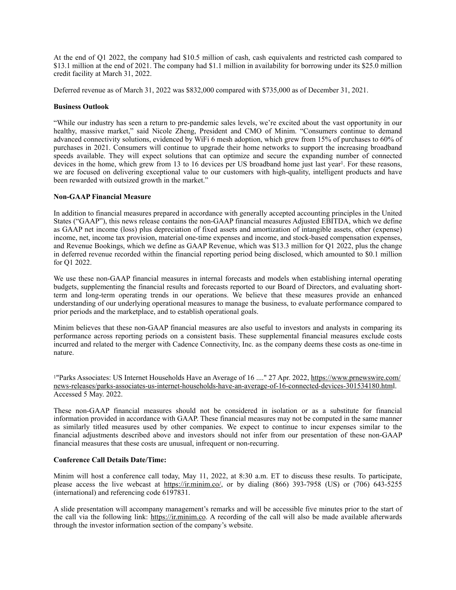At the end of Q1 2022, the company had \$10.5 million of cash, cash equivalents and restricted cash compared to \$13.1 million at the end of 2021. The company had \$1.1 million in availability for borrowing under its \$25.0 million credit facility at March 31, 2022.

Deferred revenue as of March 31, 2022 was \$832,000 compared with \$735,000 as of December 31, 2021.

## **Business Outlook**

"While our industry has seen a return to pre-pandemic sales levels, we're excited about the vast opportunity in our healthy, massive market," said Nicole Zheng, President and CMO of Minim. "Consumers continue to demand advanced connectivity solutions, evidenced by WiFi 6 mesh adoption, which grew from 15% of purchases to 60% of purchases in 2021. Consumers will continue to upgrade their home networks to support the increasing broadband speeds available. They will expect solutions that can optimize and secure the expanding number of connected devices in the home, which grew from 13 to 16 devices per US broadband home just last year<sup>1</sup>. For these reasons, we are focused on delivering exceptional value to our customers with high-quality, intelligent products and have been rewarded with outsized growth in the market."

# **Non-GAAP Financial Measure**

In addition to financial measures prepared in accordance with generally accepted accounting principles in the United States ("GAAP"), this news release contains the non-GAAP financial measures Adjusted EBITDA, which we define as GAAP net income (loss) plus depreciation of fixed assets and amortization of intangible assets, other (expense) income, net, income tax provision, material one-time expenses and income, and stock-based compensation expenses, and Revenue Bookings, which we define as GAAP Revenue, which was \$13.3 million for Q1 2022, plus the change in deferred revenue recorded within the financial reporting period being disclosed, which amounted to \$0.1 million for Q1 2022.

We use these non-GAAP financial measures in internal forecasts and models when establishing internal operating budgets, supplementing the financial results and forecasts reported to our Board of Directors, and evaluating shortterm and long-term operating trends in our operations. We believe that these measures provide an enhanced understanding of our underlying operational measures to manage the business, to evaluate performance compared to prior periods and the marketplace, and to establish operational goals.

Minim believes that these non-GAAP financial measures are also useful to investors and analysts in comparing its performance across reporting periods on a consistent basis. These supplemental financial measures exclude costs incurred and related to the merger with Cadence Connectivity, Inc. as the company deems these costs as one-time in nature.

<sup>1</sup>"Parks Associates: US Internet Households Have an Average of 16 ...." 27 Apr. 2022, https://www.prnewswire.com/ news-releases/parks-associates-us-internet-households-have-an-average-of-16-connected-devices-301534180.html. Accessed 5 May. 2022.

These non-GAAP financial measures should not be considered in isolation or as a substitute for financial information provided in accordance with GAAP. These financial measures may not be computed in the same manner as similarly titled measures used by other companies. We expect to continue to incur expenses similar to the financial adjustments described above and investors should not infer from our presentation of these non-GAAP financial measures that these costs are unusual, infrequent or non-recurring.

# **Conference Call Details Date/Time:**

Minim will host a conference call today, May 11, 2022, at 8:30 a.m. ET to discuss these results. To participate, please access the live webcast at https://ir.minim.co/, or by dialing (866) 393-7958 (US) or (706) 643-5255 (international) and referencing code 6197831.

A slide presentation will accompany management's remarks and will be accessible five minutes prior to the start of the call via the following link: https://ir.minim.co. A recording of the call will also be made available afterwards through the investor information section of the company's website.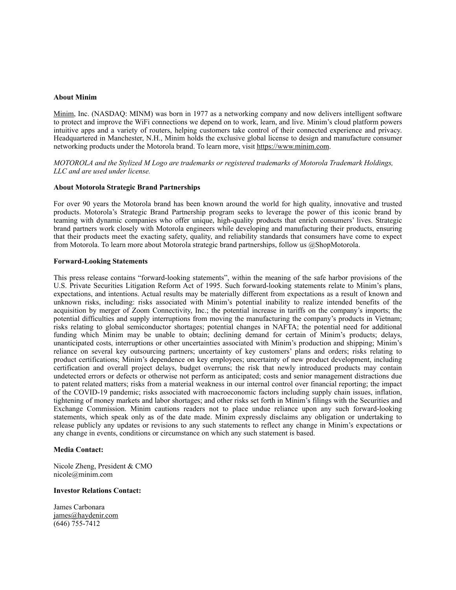#### **About Minim**

Minim, Inc. (NASDAQ: MINM) was born in 1977 as a networking company and now delivers intelligent software to protect and improve the WiFi connections we depend on to work, learn, and live. Minim's cloud platform powers intuitive apps and a variety of routers, helping customers take control of their connected experience and privacy. Headquartered in Manchester, N.H., Minim holds the exclusive global license to design and manufacture consumer networking products under the Motorola brand. To learn more, visit https://www.minim.com.

*MOTOROLA and the Stylized M Logo are trademarks or registered trademarks of Motorola Trademark Holdings, LLC and are used under license.*

### **About Motorola Strategic Brand Partnerships**

For over 90 years the Motorola brand has been known around the world for high quality, innovative and trusted products. Motorola's Strategic Brand Partnership program seeks to leverage the power of this iconic brand by teaming with dynamic companies who offer unique, high-quality products that enrich consumers' lives. Strategic brand partners work closely with Motorola engineers while developing and manufacturing their products, ensuring that their products meet the exacting safety, quality, and reliability standards that consumers have come to expect from Motorola. To learn more about Motorola strategic brand partnerships, follow us @ShopMotorola.

#### **Forward-Looking Statements**

This press release contains "forward-looking statements", within the meaning of the safe harbor provisions of the U.S. Private Securities Litigation Reform Act of 1995. Such forward-looking statements relate to Minim's plans, expectations, and intentions. Actual results may be materially different from expectations as a result of known and unknown risks, including: risks associated with Minim's potential inability to realize intended benefits of the acquisition by merger of Zoom Connectivity, Inc.; the potential increase in tariffs on the company's imports; the potential difficulties and supply interruptions from moving the manufacturing the company's products in Vietnam; risks relating to global semiconductor shortages; potential changes in NAFTA; the potential need for additional funding which Minim may be unable to obtain; declining demand for certain of Minim's products; delays, unanticipated costs, interruptions or other uncertainties associated with Minim's production and shipping; Minim's reliance on several key outsourcing partners; uncertainty of key customers' plans and orders; risks relating to product certifications; Minim's dependence on key employees; uncertainty of new product development, including certification and overall project delays, budget overruns; the risk that newly introduced products may contain undetected errors or defects or otherwise not perform as anticipated; costs and senior management distractions due to patent related matters; risks from a material weakness in our internal control over financial reporting; the impact of the COVID-19 pandemic; risks associated with macroeconomic factors including supply chain issues, inflation, tightening of money markets and labor shortages; and other risks set forth in Minim's filings with the Securities and Exchange Commission. Minim cautions readers not to place undue reliance upon any such forward-looking statements, which speak only as of the date made. Minim expressly disclaims any obligation or undertaking to release publicly any updates or revisions to any such statements to reflect any change in Minim's expectations or any change in events, conditions or circumstance on which any such statement is based.

### **Media Contact:**

Nicole Zheng, President & CMO nicole@minim.com

#### **Investor Relations Contact:**

James Carbonara james@haydenir.com (646) 755-7412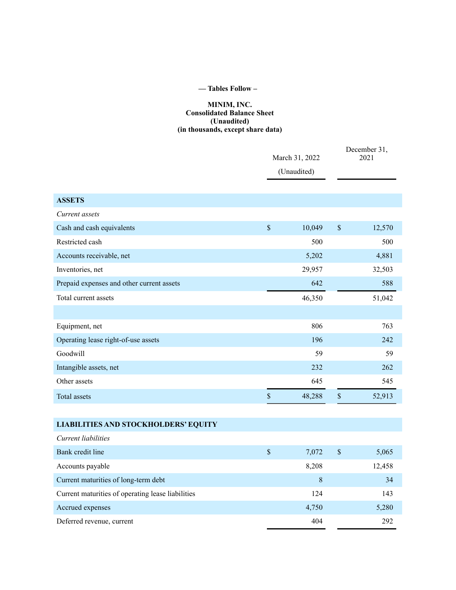# **— Tables Follow –**

# **MINIM, INC. Consolidated Balance Sheet (Unaudited) (in thousands, except share data)**

|                                                   | March 31, 2022<br>(Unaudited) |        | December 31,<br>2021      |        |
|---------------------------------------------------|-------------------------------|--------|---------------------------|--------|
| <b>ASSETS</b>                                     |                               |        |                           |        |
| Current assets                                    |                               |        |                           |        |
| Cash and cash equivalents                         | $\mathsf{\$}$                 | 10,049 | $\boldsymbol{\mathsf{S}}$ | 12,570 |
| Restricted cash                                   |                               | 500    |                           | 500    |
| Accounts receivable, net                          |                               | 5,202  |                           | 4,881  |
| Inventories, net                                  |                               | 29,957 |                           | 32,503 |
| Prepaid expenses and other current assets         |                               | 642    |                           | 588    |
| Total current assets                              |                               | 46,350 |                           | 51,042 |
|                                                   |                               |        |                           |        |
| Equipment, net                                    |                               | 806    |                           | 763    |
| Operating lease right-of-use assets               |                               | 196    |                           | 242    |
| Goodwill                                          |                               | 59     |                           | 59     |
| Intangible assets, net                            |                               | 232    |                           | 262    |
| Other assets                                      |                               | 645    |                           | 545    |
| <b>Total assets</b>                               | $\mathsf{\$}$                 | 48,288 | $\sqrt{\ }$               | 52,913 |
|                                                   |                               |        |                           |        |
| <b>LIABILITIES AND STOCKHOLDERS' EQUITY</b>       |                               |        |                           |        |
| Current liabilities                               |                               |        |                           |        |
| Bank credit line                                  | $\$$                          | 7,072  | $\$$                      | 5,065  |
| Accounts payable                                  |                               | 8,208  |                           | 12,458 |
| Current maturities of long-term debt              |                               | 8      |                           | 34     |
| Current maturities of operating lease liabilities |                               | 124    |                           | 143    |
| Accrued expenses                                  |                               | 4,750  |                           | 5,280  |
| Deferred revenue, current                         |                               | 404    |                           | 292    |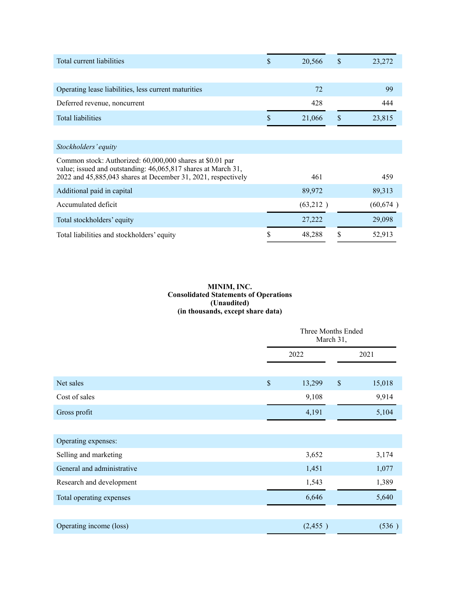| Total current liabilities                                                                                                      | \$<br>20,566 | \$ | 23,272    |
|--------------------------------------------------------------------------------------------------------------------------------|--------------|----|-----------|
|                                                                                                                                |              |    |           |
| Operating lease liabilities, less current maturities                                                                           | 72           |    | 99        |
| Deferred revenue, noncurrent                                                                                                   | 428          |    | 444       |
| <b>Total liabilities</b>                                                                                                       | 21,066       | \$ | 23,815    |
|                                                                                                                                |              |    |           |
| Stockholders' equity                                                                                                           |              |    |           |
| Common stock: Authorized: 60,000,000 shares at \$0.01 par                                                                      |              |    |           |
| value; issued and outstanding: 46,065,817 shares at March 31,<br>2022 and 45,885,043 shares at December 31, 2021, respectively | 461          |    | 459       |
| Additional paid in capital                                                                                                     | 89,972       |    | 89,313    |
| Accumulated deficit                                                                                                            | (63,212)     |    | (60, 674) |
| Total stockholders' equity                                                                                                     | 27,222       |    | 29,098    |
| Total liabilities and stockholders' equity                                                                                     | \$<br>48,288 | S  | 52,913    |

# **MINIM, INC. Consolidated Statements of Operations (Unaudited) (in thousands, except share data)**

|                            |                           | Three Months Ended<br>March 31, |               |        |
|----------------------------|---------------------------|---------------------------------|---------------|--------|
|                            |                           | 2022                            |               | 2021   |
|                            |                           |                                 |               |        |
| Net sales                  | $\boldsymbol{\mathsf{S}}$ | 13,299                          | $\mathsf{\$}$ | 15,018 |
| Cost of sales              |                           | 9,108                           |               | 9,914  |
| Gross profit               |                           | 4,191                           |               | 5,104  |
|                            |                           |                                 |               |        |
| Operating expenses:        |                           |                                 |               |        |
| Selling and marketing      |                           | 3,652                           |               | 3,174  |
| General and administrative |                           | 1,451                           |               | 1,077  |
| Research and development   |                           | 1,543                           |               | 1,389  |
| Total operating expenses   |                           | 6,646                           |               | 5,640  |
|                            |                           |                                 |               |        |
| Operating income (loss)    |                           | (2,455)                         |               | (536)  |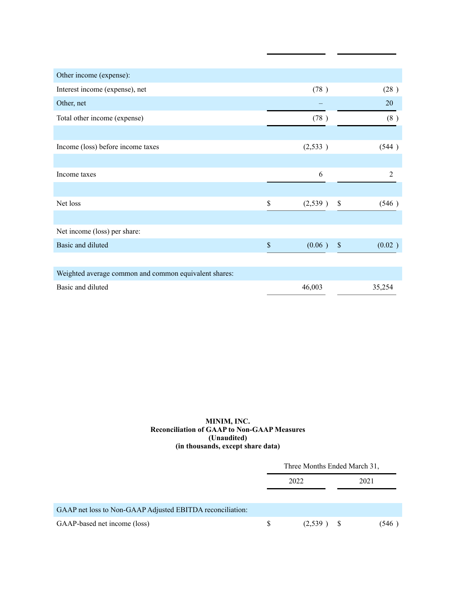| Other income (expense):                               |               |                |
|-------------------------------------------------------|---------------|----------------|
| Interest income (expense), net                        | (78)          | (28)           |
| Other, net                                            |               | 20             |
| Total other income (expense)                          | (78)          | (8)            |
|                                                       |               |                |
| Income (loss) before income taxes                     | (2,533)       | (544)          |
|                                                       |               |                |
| Income taxes                                          | 6             | $\overline{2}$ |
|                                                       |               |                |
| Net loss                                              | \$<br>(2,539) | \$<br>(546)    |
|                                                       |               |                |
| Net income (loss) per share:                          |               |                |
| Basic and diluted                                     | \$<br>(0.06)  | $\$$<br>(0.02) |
|                                                       |               |                |
| Weighted average common and common equivalent shares: |               |                |
| Basic and diluted                                     | 46,003        | 35,254         |

### **MINIM, INC. Reconciliation of GAAP to Non-GAAP Measures (Unaudited) (in thousands, except share data)**

|                                                           | Three Months Ended March 31, |         |    |       |
|-----------------------------------------------------------|------------------------------|---------|----|-------|
|                                                           |                              | 2022    |    | 2021  |
| GAAP net loss to Non-GAAP Adjusted EBITDA reconciliation: |                              |         |    |       |
| GAAP-based net income (loss)                              | \$.                          | (2,539) | -8 | (546) |